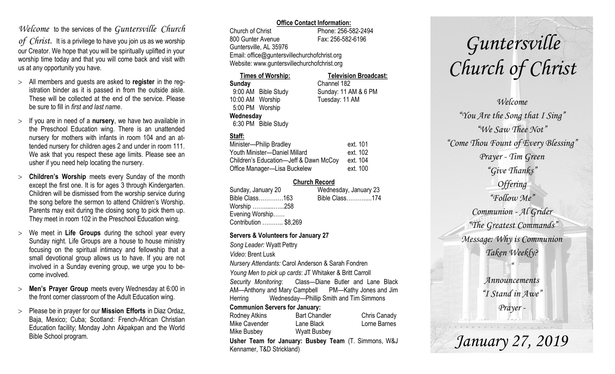## *Welcome* to the services of the *Guntersville Church*

*of Christ*. It is a privilege to have you join us as we worship our Creator. We hope that you will be spiritually uplifted in your worship time today and that you will come back and visit with us at any opportunity you have.

- All members and guests are asked to **register** in the registration binder as it is passed in from the outside aisle. These will be collected at the end of the service. Please be sure to fill in *first and last name*.
- $>$  If you are in need of a **nursery**, we have two available in the Preschool Education wing. There is an unattended nursery for mothers with infants in room 104 and an attended nursery for children ages 2 and under in room 111. We ask that you respect these age limits. Please see an usher if you need help locating the nursery.
- **Children's Worship** meets every Sunday of the month except the first one. It is for ages 3 through Kindergarten. Children will be dismissed from the worship service during the song before the sermon to attend Children's Worship. Parents may exit during the closing song to pick them up. They meet in room 102 in the Preschool Education wing.
- We meet in **Life Groups** during the school year every Sunday night. Life Groups are a house to house ministry focusing on the spiritual intimacy and fellowship that a small devotional group allows us to have. If you are not involved in a Sunday evening group, we urge you to become involved.
- **Men's Prayer Group** meets every Wednesday at 6:00 in the front corner classroom of the Adult Education wing.
- Please be in prayer for our **Mission Efforts** in Diaz Ordaz, Baja, Mexico; Cuba; Scotland: French-African Christian Education facility; Monday John Akpakpan and the World Bible School program.

### **Office Contact Information:**

Church of Christ Phone: 256-582-2494 800 Gunter Avenue Fax: 256-582-6196 Guntersville, AL 35976 Email: office@guntersvillechurchofchrist.org Website: www.guntersvillechurchofchrist.org

| <b>Times of Worship:</b> |                     | <b>Television Broadcast:</b> |  |
|--------------------------|---------------------|------------------------------|--|
| Sunday                   |                     | Channel 182                  |  |
|                          | 9:00 AM Bible Study | Sunday: 11 AM & 6 PM         |  |
| 10:00 AM Worship         |                     | Tuesday: 11 AM               |  |
| 5:00 PM Worship          |                     |                              |  |
| Wednesday                |                     |                              |  |
|                          | 6:30 PM Bible Study |                              |  |

## **Staff:**

| Minister-Philip Bradley                | ext. 101 |
|----------------------------------------|----------|
| Youth Minister-Daniel Millard          | ext. 102 |
| Children's Education-Jeff & Dawn McCoy | ext. 104 |
| Office Manager-Lisa Buckelew           | ext. 100 |

### **Church Record**

|                       | Wednesday, January 23 |
|-----------------------|-----------------------|
| Bible Class163        | Bible Class174        |
| Worship 258           |                       |
| Evening Worship       |                       |
| Contribution  \$8,269 |                       |
|                       |                       |

#### **Servers & Volunteers for January 27**

*Song Leader:* Wyatt Pettry *Video*: Brent Lusk *Nursery Attendants:* Carol Anderson & Sarah Fondren *Young Men to pick up cards*: JT Whitaker & Britt Carroll *Security Monitoring*: Class—Diane Butler and Lane Black AM—Anthony and Mary Campbell PM—Kathy Jones and Jim Herring Wednesday—Phillip Smith and Tim Simmons **Communion Servers for January:**  Rodney Atkins **Bart Chandler** Chris Canady Mike Cavender Lane Black Lorne Barnes Mike Busbey Wyatt Busbey

**Usher Team for January: Busbey Team** (T. Simmons, W&J Kennamer, T&D Strickland)

# *Guntersville Church of Christ*

*Welcome "You Are the Song that I Sing" "We Saw Thee Not" "Come Thou Fount of Every Blessing" Prayer - Tim Green "Give Thanks" Offering "Follow Me" Communion - Al Grider "The Greatest Commands" Message: Why is Communion Taken Weekly? " Announcements "I Stand in Awe" Prayer -*

*January 27, 2019*